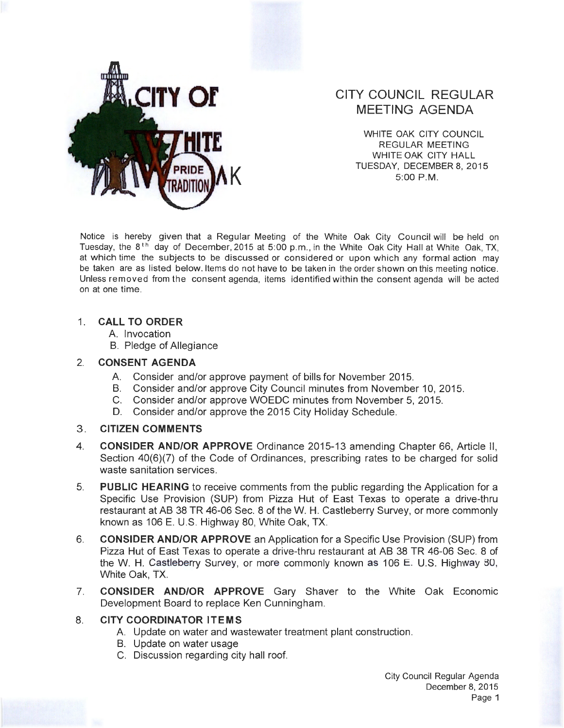

# **CITY COUNCIL REGULAR MEETING AGENDA**

WHITE OAK CITY COUNCIL REGULAR MEETING WHITE OAK CITY HALL TUESDAY, DECEMBER 8, 2015<br>5:00 P.M.

Notice is hereby given that a Regular Meeting of the White Oak City Council will be held on Tuesday, the 8<sup>th</sup> day of December, 2015 at 5:00 p.m., in the White Oak City Hall at White Oak, TX, at which time the subjects to be discussed or considered or upon which any formal action may be taken are as listed below. Items do not have to be taken in the order shown on this meeting notice. Unless removed from the consent agenda, items identified within the consent agenda will be acted on at one time.

## **1. CALL TO ORDER**

- A. Invocation
- B. Pledge of Allegiance

### 2. **CONSENT AGENDA**

- A. Consider and/or approve payment of bills for November 2015.
- B. Consider and/or approve City Council minutes from November 10, 2015.
- C. Consider and/or approve WOEDC minutes from November 5, 2015.
- D. Consider and/or approve the 2015 City Holiday Schedule.

#### 3. **CITIZEN COMMENTS**

- 4. **CONSIDER AND/OR APPROVE** Ordinance 2015-13 amending Chapter 66, Article II , Section 40(6)(7) of the Code of Ordinances, prescribing rates to be charged for solid waste sanitation services.
- 5. **PUBLIC HEARING** to receive comments from the public regarding the Application for a Specific Use Provision (SUP) from Pizza Hut of East Texas to operate a drive-thru restaurant at AB 38 TR 46-06 Sec. 8 of theW. **H.** Castleberry Survey, or more commonly known as 106 E. U.S. Highway 80, White Oak, TX.
- 6. **CONSIDER AND/OR APPROVE** an Application for a Specific Use Provision (SUP) from Pizza Hut of East Texas to operate a drive-thru restaurant at AB 38 TR 46-06 Sec. 8 of the W. H. Castleberry Survey, or more commonly known as 106 E. U.S. Highway 80, White Oak, TX.
- 7. **CONSIDER AND/OR APPROVE** Gary Shaver to the White Oak Economic Development Board to replace Ken Cunningham.

## 8. **CITY COORDINATOR ITEMS**

- A. Update on water and wastewater treatment plant construction.
- B. Update on water usage
- C. Discussion regarding city hall roof.